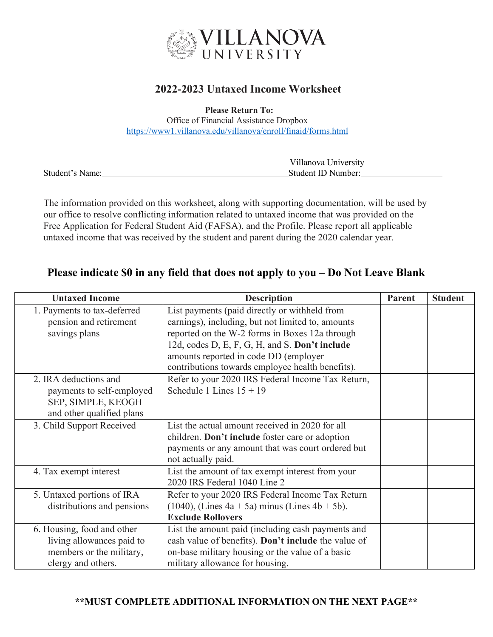

## **2022-2023 Untaxed Income Worksheet**

**Please Return To:**

Office of Financial Assistance Dropbox <https://www1.villanova.edu/villanova/enroll/finaid/forms.html>

|                 | Villanova University |
|-----------------|----------------------|
| Student's Name: | Student ID Number:   |

The information provided on this worksheet, along with supporting documentation, will be used by our office to resolve conflicting information related to untaxed income that was provided on the Free Application for Federal Student Aid (FAFSA), and the Profile. Please report all applicable untaxed income that was received by the student and parent during the 2020 calendar year.

## **Please indicate \$0 in any field that does not apply to you – Do Not Leave Blank**

| <b>Untaxed Income</b>       | <b>Description</b>                                  | Parent | <b>Student</b> |
|-----------------------------|-----------------------------------------------------|--------|----------------|
| 1. Payments to tax-deferred | List payments (paid directly or withheld from       |        |                |
| pension and retirement      | earnings), including, but not limited to, amounts   |        |                |
| savings plans               | reported on the W-2 forms in Boxes 12a through      |        |                |
|                             | 12d, codes D, E, F, G, H, and S. Don't include      |        |                |
|                             | amounts reported in code DD (employer               |        |                |
|                             | contributions towards employee health benefits).    |        |                |
| 2. IRA deductions and       | Refer to your 2020 IRS Federal Income Tax Return,   |        |                |
| payments to self-employed   | Schedule 1 Lines $15 + 19$                          |        |                |
| SEP, SIMPLE, KEOGH          |                                                     |        |                |
| and other qualified plans   |                                                     |        |                |
| 3. Child Support Received   | List the actual amount received in 2020 for all     |        |                |
|                             | children. Don't include foster care or adoption     |        |                |
|                             | payments or any amount that was court ordered but   |        |                |
|                             | not actually paid.                                  |        |                |
| 4. Tax exempt interest      | List the amount of tax exempt interest from your    |        |                |
|                             | 2020 IRS Federal 1040 Line 2                        |        |                |
| 5. Untaxed portions of IRA  | Refer to your 2020 IRS Federal Income Tax Return    |        |                |
| distributions and pensions  | $(1040)$ , (Lines 4a + 5a) minus (Lines 4b + 5b).   |        |                |
|                             | <b>Exclude Rollovers</b>                            |        |                |
| 6. Housing, food and other  | List the amount paid (including cash payments and   |        |                |
| living allowances paid to   | cash value of benefits). Don't include the value of |        |                |
| members or the military,    | on-base military housing or the value of a basic    |        |                |
| clergy and others.          | military allowance for housing.                     |        |                |